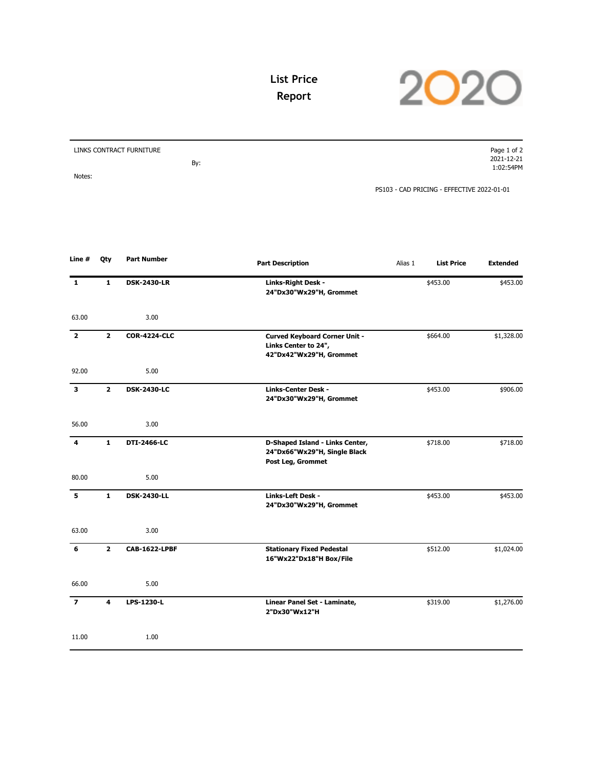

## **List Price Report**

| LINKS CONTRACT FURNITURE |     | Page 1 of 2                                |
|--------------------------|-----|--------------------------------------------|
|                          |     | 2021-12-21                                 |
|                          | By: | 1:02:54PM                                  |
| Notes:                   |     |                                            |
|                          |     | PS103 - CAD PRICING - EFFECTIVE 2022-01-01 |

| Line #                  | Qty            | <b>Part Number</b>   | <b>Part Description</b>                                                                 | Alias 1 | <b>List Price</b> | <b>Extended</b> |
|-------------------------|----------------|----------------------|-----------------------------------------------------------------------------------------|---------|-------------------|-----------------|
| $\mathbf{1}$            | $\mathbf{1}$   | <b>DSK-2430-LR</b>   | Links-Right Desk -<br>24"Dx30"Wx29"H, Grommet                                           |         | \$453.00          | \$453.00        |
| 63.00                   |                | 3.00                 |                                                                                         |         |                   |                 |
| $\overline{2}$          | $\overline{2}$ | <b>COR-4224-CLC</b>  | <b>Curved Keyboard Corner Unit -</b><br>Links Center to 24",<br>42"Dx42"Wx29"H, Grommet |         | \$664.00          | \$1,328.00      |
| 92.00                   |                | 5.00                 |                                                                                         |         |                   |                 |
| $\overline{\mathbf{3}}$ | $\overline{2}$ | <b>DSK-2430-LC</b>   | <b>Links-Center Desk -</b><br>24"Dx30"Wx29"H, Grommet                                   |         | \$453.00          | \$906.00        |
| 56.00                   |                | 3.00                 |                                                                                         |         |                   |                 |
| 4                       | $\mathbf{1}$   | DTI-2466-LC          | D-Shaped Island - Links Center,<br>24"Dx66"Wx29"H, Single Black<br>Post Leg, Grommet    |         | \$718.00          | \$718.00        |
| 80.00                   |                | 5.00                 |                                                                                         |         |                   |                 |
| 5                       | $\mathbf{1}$   | <b>DSK-2430-LL</b>   | Links-Left Desk -<br>24"Dx30"Wx29"H, Grommet                                            |         | \$453.00          | \$453.00        |
| 63.00                   |                | 3.00                 |                                                                                         |         |                   |                 |
| 6                       | $\overline{2}$ | <b>CAB-1622-LPBF</b> | <b>Stationary Fixed Pedestal</b><br>16"Wx22"Dx18"H Box/File                             |         | \$512.00          | \$1,024.00      |
| 66.00                   |                | 5.00                 |                                                                                         |         |                   |                 |
| $\overline{z}$          | 4              | LPS-1230-L           | Linear Panel Set - Laminate,<br>2"Dx30"Wx12"H                                           |         | \$319.00          | \$1,276.00      |
| 11.00                   |                | 1.00                 |                                                                                         |         |                   |                 |